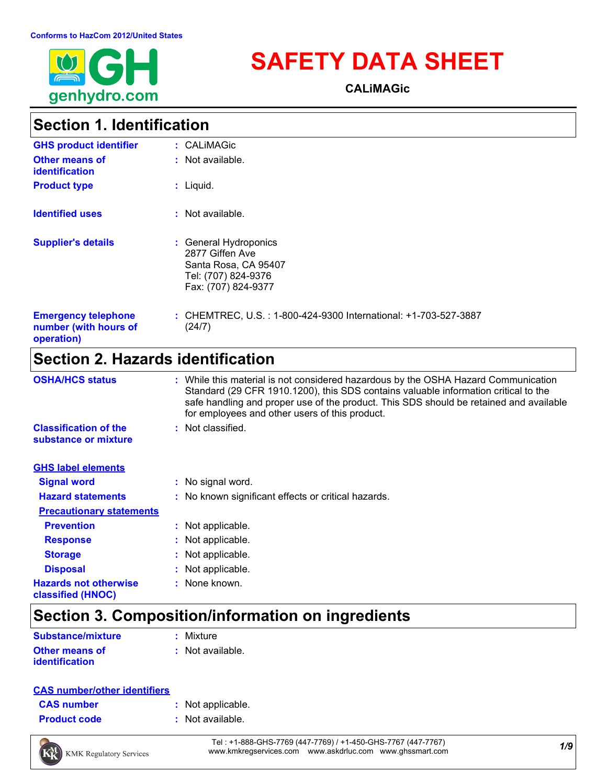

# **SAFETY DATA SHEET**

**CALiMAGic**

### **Section 1. Identification**

| <b>GHS product identifier</b>                                     | : CALIMAGic                                                                                                    |
|-------------------------------------------------------------------|----------------------------------------------------------------------------------------------------------------|
| <b>Other means of</b><br>identification                           | $:$ Not available.                                                                                             |
| <b>Product type</b>                                               | $:$ Liquid.                                                                                                    |
| <b>Identified uses</b>                                            | $:$ Not available.                                                                                             |
| <b>Supplier's details</b>                                         | : General Hydroponics<br>2877 Giffen Ave<br>Santa Rosa, CA 95407<br>Tel: (707) 824-9376<br>Fax: (707) 824-9377 |
| <b>Emergency telephone</b><br>number (with hours of<br>operation) | : CHEMTREC, U.S.: 1-800-424-9300 International: +1-703-527-3887<br>(24/7)                                      |

### **Section 2. Hazards identification**

| <b>OSHA/HCS status</b>                               | : While this material is not considered hazardous by the OSHA Hazard Communication<br>Standard (29 CFR 1910.1200), this SDS contains valuable information critical to the<br>safe handling and proper use of the product. This SDS should be retained and available<br>for employees and other users of this product. |
|------------------------------------------------------|-----------------------------------------------------------------------------------------------------------------------------------------------------------------------------------------------------------------------------------------------------------------------------------------------------------------------|
| <b>Classification of the</b><br>substance or mixture | : Not classified.                                                                                                                                                                                                                                                                                                     |
| <b>GHS label elements</b>                            |                                                                                                                                                                                                                                                                                                                       |
| <b>Signal word</b>                                   | : No signal word.                                                                                                                                                                                                                                                                                                     |
| <b>Hazard statements</b>                             | : No known significant effects or critical hazards.                                                                                                                                                                                                                                                                   |
| <b>Precautionary statements</b>                      |                                                                                                                                                                                                                                                                                                                       |
| <b>Prevention</b>                                    | : Not applicable.                                                                                                                                                                                                                                                                                                     |
| <b>Response</b>                                      | : Not applicable.                                                                                                                                                                                                                                                                                                     |
| <b>Storage</b>                                       | : Not applicable.                                                                                                                                                                                                                                                                                                     |
| <b>Disposal</b>                                      | : Not applicable.                                                                                                                                                                                                                                                                                                     |
| <b>Hazards not otherwise</b><br>classified (HNOC)    | : None known.                                                                                                                                                                                                                                                                                                         |

### **Section 3. Composition/information on ingredients**

| <b>Substance/mixture</b> | : Mixture          |
|--------------------------|--------------------|
| <b>Other means of</b>    | $:$ Not available. |
| <i>identification</i>    |                    |

#### **CAS number/other identifiers**

| <b>CAS number</b> |  |  |
|-------------------|--|--|
|                   |  |  |

- **:** Not applicable.
- **Product code :** Not available.



*1/9* Tel : +1-888-GHS-7769 (447-7769) / +1-450-GHS-7767 (447-7767) www.kmkregservices.com www.askdrluc.com www.ghssmart.com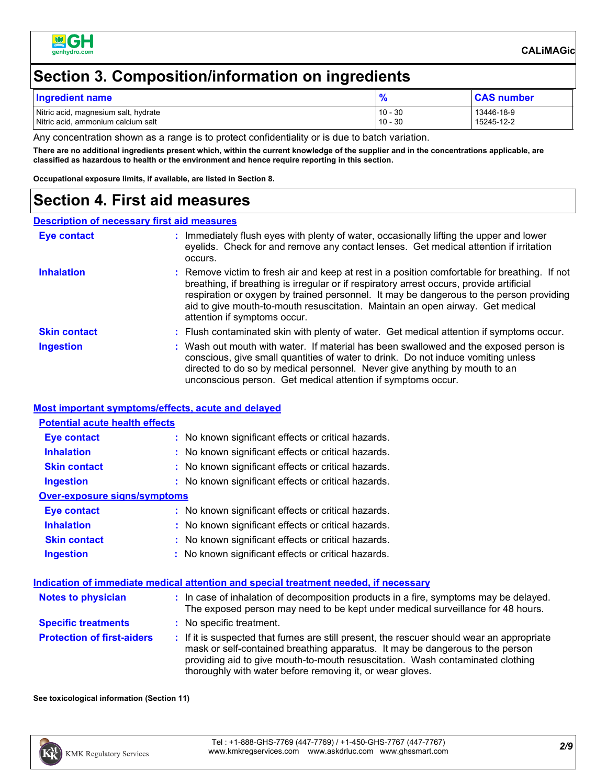

### **Section 3. Composition/information on ingredients**

| Ingredient name                      |           | <b>CAS number</b> |
|--------------------------------------|-----------|-------------------|
| Nitric acid, magnesium salt, hydrate | $10 - 30$ | 13446-18-9        |
| Nitric acid, ammonium calcium salt   | $10 - 30$ | 15245-12-2        |

Any concentration shown as a range is to protect confidentiality or is due to batch variation.

**There are no additional ingredients present which, within the current knowledge of the supplier and in the concentrations applicable, are classified as hazardous to health or the environment and hence require reporting in this section.**

**Occupational exposure limits, if available, are listed in Section 8.**

### **Section 4. First aid measures**

#### **Description of necessary first aid measures**

| Eye contact         | : Immediately flush eyes with plenty of water, occasionally lifting the upper and lower<br>eyelids. Check for and remove any contact lenses. Get medical attention if irritation<br>occurs.                                                                                                                                                                                                            |
|---------------------|--------------------------------------------------------------------------------------------------------------------------------------------------------------------------------------------------------------------------------------------------------------------------------------------------------------------------------------------------------------------------------------------------------|
| <b>Inhalation</b>   | : Remove victim to fresh air and keep at rest in a position comfortable for breathing. If not<br>breathing, if breathing is irregular or if respiratory arrest occurs, provide artificial<br>respiration or oxygen by trained personnel. It may be dangerous to the person providing<br>aid to give mouth-to-mouth resuscitation. Maintain an open airway. Get medical<br>attention if symptoms occur. |
| <b>Skin contact</b> | : Flush contaminated skin with plenty of water. Get medical attention if symptoms occur.                                                                                                                                                                                                                                                                                                               |
| <b>Ingestion</b>    | : Wash out mouth with water. If material has been swallowed and the exposed person is<br>conscious, give small quantities of water to drink. Do not induce vomiting unless<br>directed to do so by medical personnel. Never give anything by mouth to an<br>unconscious person. Get medical attention if symptoms occur.                                                                               |

#### **Most important symptoms/effects, acute and delayed**

| <b>Potential acute health effects</b> |                                                     |
|---------------------------------------|-----------------------------------------------------|
| <b>Eye contact</b>                    | : No known significant effects or critical hazards. |
| <b>Inhalation</b>                     | : No known significant effects or critical hazards. |
| <b>Skin contact</b>                   | : No known significant effects or critical hazards. |
| <b>Ingestion</b>                      | : No known significant effects or critical hazards. |
| Over-exposure signs/symptoms          |                                                     |
| Eye contact                           | : No known significant effects or critical hazards. |
| <b>Inhalation</b>                     | : No known significant effects or critical hazards. |
| <b>Skin contact</b>                   | : No known significant effects or critical hazards. |
| <b>Ingestion</b>                      | : No known significant effects or critical hazards. |

#### **Notes to physician :** In case of inhalation of decomposition products in a fire, symptoms may be delayed. **Indication of immediate medical attention and special treatment needed, if necessary**

| <b>NOLES IO DIIVSICIAII</b>       | . In case of imidiation of decomposition products in a fire, symptoms may be delayed.<br>The exposed person may need to be kept under medical surveillance for 48 hours.                                                                                                                                                  |
|-----------------------------------|---------------------------------------------------------------------------------------------------------------------------------------------------------------------------------------------------------------------------------------------------------------------------------------------------------------------------|
| <b>Specific treatments</b>        | : No specific treatment.                                                                                                                                                                                                                                                                                                  |
| <b>Protection of first-aiders</b> | : If it is suspected that fumes are still present, the rescuer should wear an appropriate<br>mask or self-contained breathing apparatus. It may be dangerous to the person<br>providing aid to give mouth-to-mouth resuscitation. Wash contaminated clothing<br>thoroughly with water before removing it, or wear gloves. |

#### **See toxicological information (Section 11)**

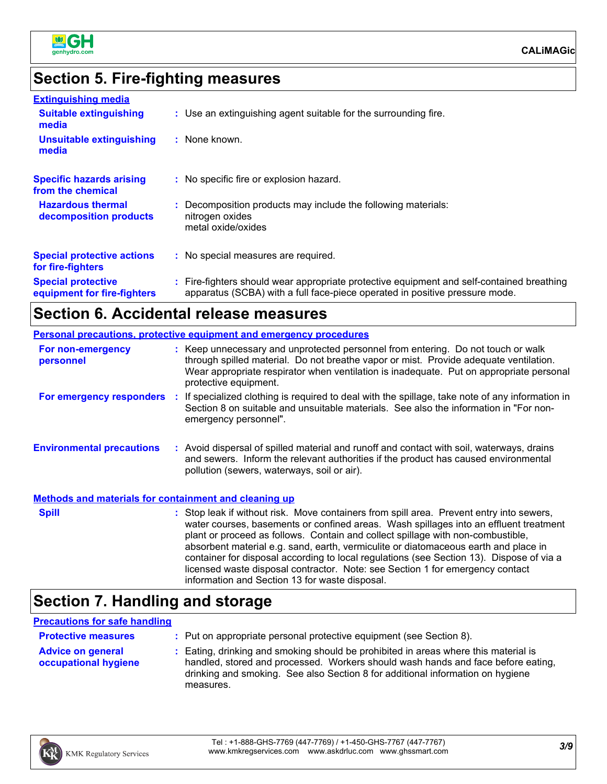

### **Section 5. Fire-fighting measures**

| <b>Extinguishing media</b>                               |                                                                                                                                                                          |
|----------------------------------------------------------|--------------------------------------------------------------------------------------------------------------------------------------------------------------------------|
| <b>Suitable extinguishing</b><br>media                   | : Use an extinguishing agent suitable for the surrounding fire.                                                                                                          |
| <b>Unsuitable extinguishing</b><br>media                 | : None known.                                                                                                                                                            |
| <b>Specific hazards arising</b><br>from the chemical     | : No specific fire or explosion hazard.                                                                                                                                  |
| <b>Hazardous thermal</b><br>decomposition products       | : Decomposition products may include the following materials:<br>nitrogen oxides<br>metal oxide/oxides                                                                   |
| <b>Special protective actions</b><br>for fire-fighters   | : No special measures are required.                                                                                                                                      |
| <b>Special protective</b><br>equipment for fire-fighters | : Fire-fighters should wear appropriate protective equipment and self-contained breathing<br>apparatus (SCBA) with a full face-piece operated in positive pressure mode. |

### **Section 6. Accidental release measures**

| <b>Personal precautions, protective equipment and emergency procedures</b> |  |                                                                                                                                                                                                                                                                                               |  |  |
|----------------------------------------------------------------------------|--|-----------------------------------------------------------------------------------------------------------------------------------------------------------------------------------------------------------------------------------------------------------------------------------------------|--|--|
| For non-emergency<br>personnel                                             |  | : Keep unnecessary and unprotected personnel from entering. Do not touch or walk<br>through spilled material. Do not breathe vapor or mist. Provide adequate ventilation.<br>Wear appropriate respirator when ventilation is inadequate. Put on appropriate personal<br>protective equipment. |  |  |
| For emergency responders :                                                 |  | If specialized clothing is required to deal with the spillage, take note of any information in<br>Section 8 on suitable and unsuitable materials. See also the information in "For non-<br>emergency personnel".                                                                              |  |  |
| <b>Environmental precautions</b>                                           |  | : Avoid dispersal of spilled material and runoff and contact with soil, waterways, drains<br>and sewers. Inform the relevant authorities if the product has caused environmental<br>pollution (sewers, waterways, soil or air).                                                               |  |  |
| Methods and materials for containment and cleaning up                      |  |                                                                                                                                                                                                                                                                                               |  |  |
| <b>Spill</b>                                                               |  | : Stop leak if without risk. Move containers from spill area. Prevent entry into sewers,<br>water courses, basements or confined areas. Wash spillages into an effluent treatment                                                                                                             |  |  |

water courses, basements or confined areas. Wash spillages into an effluent treatment plant or proceed as follows. Contain and collect spillage with non-combustible, absorbent material e.g. sand, earth, vermiculite or diatomaceous earth and place in container for disposal according to local regulations (see Section 13). Dispose of via a licensed waste disposal contractor. Note: see Section 1 for emergency contact information and Section 13 for waste disposal.

### **Section 7. Handling and storage**

| <b>Precautions for safe handling</b>             |                                                                                                                                                                                                                                                                        |
|--------------------------------------------------|------------------------------------------------------------------------------------------------------------------------------------------------------------------------------------------------------------------------------------------------------------------------|
| <b>Protective measures</b>                       | : Put on appropriate personal protective equipment (see Section 8).                                                                                                                                                                                                    |
| <b>Advice on general</b><br>occupational hygiene | : Eating, drinking and smoking should be prohibited in areas where this material is<br>handled, stored and processed. Workers should wash hands and face before eating,<br>drinking and smoking. See also Section 8 for additional information on hygiene<br>measures. |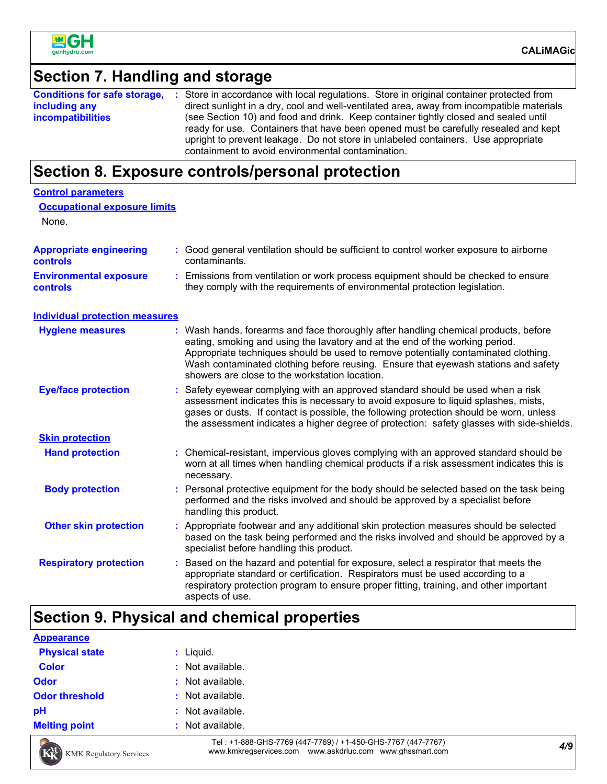

### **Section 7. Handling and storage**

|                          | <b>Conditions for safe storage, :</b> Store in accordance with local regulations. Store in original container protected from                                               |
|--------------------------|----------------------------------------------------------------------------------------------------------------------------------------------------------------------------|
| including any            | direct sunlight in a dry, cool and well-ventilated area, away from incompatible materials                                                                                  |
| <i>incompatibilities</i> | (see Section 10) and food and drink. Keep container tightly closed and sealed until<br>ready for use. Containers that have been opened must be carefully resealed and kept |
|                          | upright to prevent leakage. Do not store in unlabeled containers. Use appropriate<br>containment to avoid environmental contamination.                                     |

### **Section 8. Exposure controls/personal protection**

| <b>Control parameters</b>                         |    |                                                                                                                                                                                                                                                                                                                                                                                                   |
|---------------------------------------------------|----|---------------------------------------------------------------------------------------------------------------------------------------------------------------------------------------------------------------------------------------------------------------------------------------------------------------------------------------------------------------------------------------------------|
| <b>Occupational exposure limits</b><br>None.      |    |                                                                                                                                                                                                                                                                                                                                                                                                   |
| <b>Appropriate engineering</b><br><b>controls</b> |    | : Good general ventilation should be sufficient to control worker exposure to airborne<br>contaminants.                                                                                                                                                                                                                                                                                           |
| <b>Environmental exposure</b><br><b>controls</b>  |    | : Emissions from ventilation or work process equipment should be checked to ensure<br>they comply with the requirements of environmental protection legislation.                                                                                                                                                                                                                                  |
| <b>Individual protection measures</b>             |    |                                                                                                                                                                                                                                                                                                                                                                                                   |
| <b>Hygiene measures</b>                           |    | : Wash hands, forearms and face thoroughly after handling chemical products, before<br>eating, smoking and using the lavatory and at the end of the working period.<br>Appropriate techniques should be used to remove potentially contaminated clothing.<br>Wash contaminated clothing before reusing. Ensure that eyewash stations and safety<br>showers are close to the workstation location. |
| <b>Eye/face protection</b>                        |    | Safety eyewear complying with an approved standard should be used when a risk<br>assessment indicates this is necessary to avoid exposure to liquid splashes, mists,<br>gases or dusts. If contact is possible, the following protection should be worn, unless<br>the assessment indicates a higher degree of protection: safety glasses with side-shields.                                      |
| <b>Skin protection</b>                            |    |                                                                                                                                                                                                                                                                                                                                                                                                   |
| <b>Hand protection</b>                            |    | : Chemical-resistant, impervious gloves complying with an approved standard should be<br>worn at all times when handling chemical products if a risk assessment indicates this is<br>necessary.                                                                                                                                                                                                   |
| <b>Body protection</b>                            |    | : Personal protective equipment for the body should be selected based on the task being<br>performed and the risks involved and should be approved by a specialist before<br>handling this product.                                                                                                                                                                                               |
| <b>Other skin protection</b>                      |    | : Appropriate footwear and any additional skin protection measures should be selected<br>based on the task being performed and the risks involved and should be approved by a<br>specialist before handling this product.                                                                                                                                                                         |
| <b>Respiratory protection</b>                     | ÷. | Based on the hazard and potential for exposure, select a respirator that meets the<br>appropriate standard or certification. Respirators must be used according to a<br>respiratory protection program to ensure proper fitting, training, and other important<br>aspects of use.                                                                                                                 |

# **Section 9. Physical and chemical properties**

| <b>Appearance</b>     |                  |
|-----------------------|------------------|
| <b>Physical state</b> | $:$ Liquid.      |
| <b>Color</b>          | : Not available. |
| <b>Odor</b>           | : Not available. |
| <b>Odor threshold</b> | : Not available. |
| pH                    | : Not available. |
| <b>Melting point</b>  | : Not available. |



*4/9* Tel : +1-888-GHS-7769 (447-7769) / +1-450-GHS-7767 (447-7767) www.kmkregservices.com www.askdrluc.com www.ghssmart.com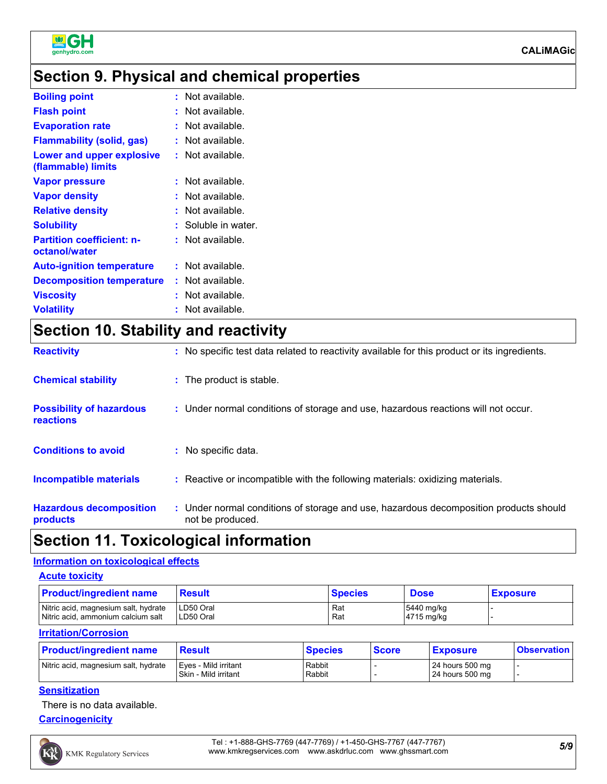

### **Section 9. Physical and chemical properties**

| Not available.<br><b>Boiling point</b><br>t.<br>Not available.<br><b>Flash point</b><br>t<br>Not available.<br><b>Evaporation rate</b><br>t.<br><b>Flammability (solid, gas)</b><br>Not available.<br>Lower and upper explosive<br>Not available.<br>(flammable) limits<br>Not available.<br><b>Vapor pressure</b><br>t.<br><b>Vapor density</b><br>Not available.<br><b>Relative density</b><br>Not available.<br>t.<br>Soluble in water.<br><b>Solubility</b><br>t.<br><b>Partition coefficient: n-</b><br>Not available.<br>octanol/water<br>Not available.<br><b>Auto-ignition temperature</b><br>t.<br>Not available.<br><b>Decomposition temperature</b><br>Not available.<br><b>Viscosity</b><br>t.<br><b>Volatility</b><br>Not available. |  |
|---------------------------------------------------------------------------------------------------------------------------------------------------------------------------------------------------------------------------------------------------------------------------------------------------------------------------------------------------------------------------------------------------------------------------------------------------------------------------------------------------------------------------------------------------------------------------------------------------------------------------------------------------------------------------------------------------------------------------------------------------|--|
|                                                                                                                                                                                                                                                                                                                                                                                                                                                                                                                                                                                                                                                                                                                                                   |  |
|                                                                                                                                                                                                                                                                                                                                                                                                                                                                                                                                                                                                                                                                                                                                                   |  |
|                                                                                                                                                                                                                                                                                                                                                                                                                                                                                                                                                                                                                                                                                                                                                   |  |
|                                                                                                                                                                                                                                                                                                                                                                                                                                                                                                                                                                                                                                                                                                                                                   |  |
|                                                                                                                                                                                                                                                                                                                                                                                                                                                                                                                                                                                                                                                                                                                                                   |  |
|                                                                                                                                                                                                                                                                                                                                                                                                                                                                                                                                                                                                                                                                                                                                                   |  |
|                                                                                                                                                                                                                                                                                                                                                                                                                                                                                                                                                                                                                                                                                                                                                   |  |
|                                                                                                                                                                                                                                                                                                                                                                                                                                                                                                                                                                                                                                                                                                                                                   |  |
|                                                                                                                                                                                                                                                                                                                                                                                                                                                                                                                                                                                                                                                                                                                                                   |  |
|                                                                                                                                                                                                                                                                                                                                                                                                                                                                                                                                                                                                                                                                                                                                                   |  |
|                                                                                                                                                                                                                                                                                                                                                                                                                                                                                                                                                                                                                                                                                                                                                   |  |
|                                                                                                                                                                                                                                                                                                                                                                                                                                                                                                                                                                                                                                                                                                                                                   |  |
|                                                                                                                                                                                                                                                                                                                                                                                                                                                                                                                                                                                                                                                                                                                                                   |  |
|                                                                                                                                                                                                                                                                                                                                                                                                                                                                                                                                                                                                                                                                                                                                                   |  |

# **Section 10. Stability and reactivity**

| <b>Reactivity</b>                                   | : No specific test data related to reactivity available for this product or its ingredients.              |
|-----------------------------------------------------|-----------------------------------------------------------------------------------------------------------|
| <b>Chemical stability</b>                           | : The product is stable.                                                                                  |
| <b>Possibility of hazardous</b><br><b>reactions</b> | : Under normal conditions of storage and use, hazardous reactions will not occur.                         |
| <b>Conditions to avoid</b>                          | : No specific data.                                                                                       |
| <b>Incompatible materials</b>                       | : Reactive or incompatible with the following materials: oxidizing materials.                             |
| <b>Hazardous decomposition</b><br>products          | : Under normal conditions of storage and use, hazardous decomposition products should<br>not be produced. |

### **Section 11. Toxicological information**

#### **Information on toxicological effects**

| <b>Acute toxicity</b> |
|-----------------------|
|-----------------------|

| <b>Product/ingredient name</b>                                             | Result                 | <b>Species</b> | <b>Dose</b>              | <b>Exposure</b> |
|----------------------------------------------------------------------------|------------------------|----------------|--------------------------|-----------------|
| Nitric acid, magnesium salt, hydrate<br>Nitric acid, ammonium calcium salt | LD50 Oral<br>LD50 Oral | Rat<br>Rat     | 5440 mg/kg<br>4715 mg/kg |                 |
| <b>Irritation/Corrosion</b>                                                |                        |                |                          |                 |

| <b>Product/ingredient name</b>       | <b>Result</b>                                  | <b>Species</b>   | <b>Score</b> | <b>Exposure</b>                      | <b>Observation</b> |
|--------------------------------------|------------------------------------------------|------------------|--------------|--------------------------------------|--------------------|
| Nitric acid, magnesium salt, hydrate | Eyes - Mild irritant<br>l Skin - Mild irritant | Rabbit<br>Rabbit |              | $24$ hours 500 mg<br>24 hours 500 mg |                    |

#### **Sensitization**

There is no data available.

**Carcinogenicity**

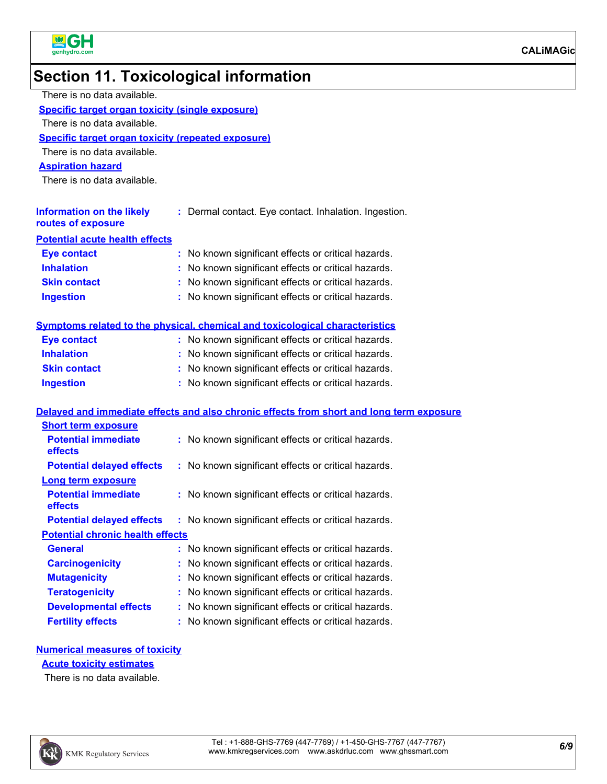

# **Section 11. Toxicological information**

| There is no data available.                               |                                                                                          |
|-----------------------------------------------------------|------------------------------------------------------------------------------------------|
| <b>Specific target organ toxicity (single exposure)</b>   |                                                                                          |
| There is no data available.                               |                                                                                          |
| <b>Specific target organ toxicity (repeated exposure)</b> |                                                                                          |
| There is no data available.                               |                                                                                          |
| <b>Aspiration hazard</b>                                  |                                                                                          |
| There is no data available.                               |                                                                                          |
|                                                           |                                                                                          |
| <b>Information on the likely</b><br>routes of exposure    | : Dermal contact. Eye contact. Inhalation. Ingestion.                                    |
| <b>Potential acute health effects</b>                     |                                                                                          |
| <b>Eye contact</b>                                        | : No known significant effects or critical hazards.                                      |
| <b>Inhalation</b>                                         | : No known significant effects or critical hazards.                                      |
| <b>Skin contact</b>                                       | : No known significant effects or critical hazards.                                      |
| <b>Ingestion</b>                                          | : No known significant effects or critical hazards.                                      |
|                                                           |                                                                                          |
|                                                           | Symptoms related to the physical, chemical and toxicological characteristics             |
| <b>Eye contact</b>                                        | : No known significant effects or critical hazards.                                      |
| <b>Inhalation</b>                                         | : No known significant effects or critical hazards.                                      |
| <b>Skin contact</b>                                       | : No known significant effects or critical hazards.                                      |
| <b>Ingestion</b>                                          | : No known significant effects or critical hazards.                                      |
|                                                           |                                                                                          |
|                                                           | Delayed and immediate effects and also chronic effects from short and long term exposure |
| <b>Short term exposure</b><br><b>Potential immediate</b>  | : No known significant effects or critical hazards.                                      |
| effects                                                   |                                                                                          |
| <b>Potential delayed effects</b>                          | : No known significant effects or critical hazards.                                      |
| <b>Long term exposure</b>                                 |                                                                                          |
| <b>Potential immediate</b>                                | : No known significant effects or critical hazards.                                      |
| effects                                                   |                                                                                          |
| <b>Potential delayed effects</b>                          | : No known significant effects or critical hazards.                                      |
| <b>Potential chronic health effects</b>                   |                                                                                          |
| <b>General</b>                                            | No known significant effects or critical hazards.                                        |
| <b>Carcinogenicity</b>                                    | No known significant effects or critical hazards.                                        |
| <b>Mutagenicity</b>                                       | No known significant effects or critical hazards.                                        |
| <b>Teratogenicity</b>                                     | No known significant effects or critical hazards.                                        |
| <b>Developmental effects</b>                              | No known significant effects or critical hazards.                                        |

**Fertility effects :** No known significant effects or critical hazards.

#### **Numerical measures of toxicity**

#### **Acute toxicity estimates**

There is no data available.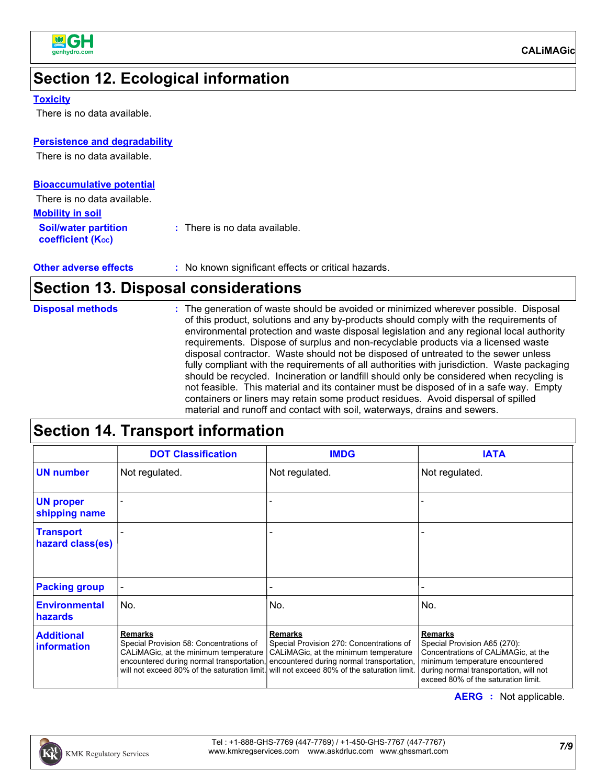

### **Section 12. Ecological information**

#### **Toxicity**

There is no data available.

#### **Persistence and degradability**

There is no data available.

| <b>Bioaccumulative potential</b>                 |                                          |
|--------------------------------------------------|------------------------------------------|
| There is no data available.                      |                                          |
| <b>Mobility in soil</b>                          |                                          |
| <b>Soil/water partition</b><br>coefficient (Koc) | $\therefore$ There is no data available. |

| <b>Other adverse effects</b> | : No known significant effects or critical hazards. |
|------------------------------|-----------------------------------------------------|
|                              |                                                     |

### **Section 13. Disposal considerations**

| <b>Disposal methods</b> |
|-------------------------|

# **Section 14. Transport information**

|                                         | <b>DOT Classification</b>                                 | <b>IMDG</b>                                                                                                                                                                                                                                                                                                              | <b>IATA</b>                                                                                                                                                                                               |
|-----------------------------------------|-----------------------------------------------------------|--------------------------------------------------------------------------------------------------------------------------------------------------------------------------------------------------------------------------------------------------------------------------------------------------------------------------|-----------------------------------------------------------------------------------------------------------------------------------------------------------------------------------------------------------|
| <b>UN number</b>                        | Not regulated.                                            | Not regulated.                                                                                                                                                                                                                                                                                                           | Not regulated.                                                                                                                                                                                            |
| <b>UN proper</b><br>shipping name       |                                                           |                                                                                                                                                                                                                                                                                                                          |                                                                                                                                                                                                           |
| <b>Transport</b><br>hazard class(es)    |                                                           |                                                                                                                                                                                                                                                                                                                          |                                                                                                                                                                                                           |
| <b>Packing group</b>                    |                                                           |                                                                                                                                                                                                                                                                                                                          |                                                                                                                                                                                                           |
| <b>Environmental</b><br>hazards         | No.                                                       | No.                                                                                                                                                                                                                                                                                                                      | No.                                                                                                                                                                                                       |
| <b>Additional</b><br><i>information</i> | <b>Remarks</b><br>Special Provision 58: Concentrations of | Remarks<br>Special Provision 270: Concentrations of<br>CALIMAGic, at the minimum temperature   CALIMAGic, at the minimum temperature<br>encountered during normal transportation, encountered during normal transportation,<br>will not exceed 80% of the saturation limit. will not exceed 80% of the saturation limit. | <b>Remarks</b><br>Special Provision A65 (270):<br>Concentrations of CALIMAGic, at the<br>minimum temperature encountered<br>during normal transportation, will not<br>exceed 80% of the saturation limit. |

**AERG :** Not applicable.

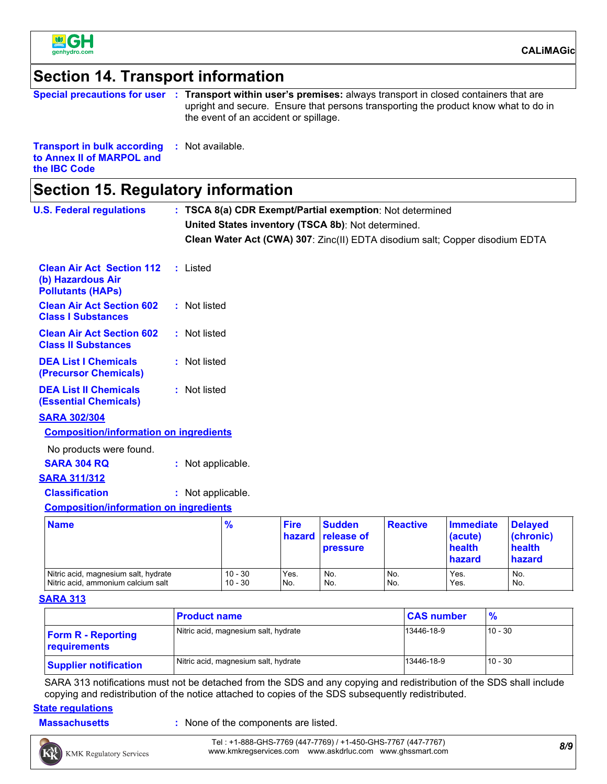

**the IBC Code**

### **Section 14. Transport information**

|                                                                                  | Special precautions for user : Transport within user's premises: always transport in closed containers that are<br>upright and secure. Ensure that persons transporting the product know what to do in<br>the event of an accident or spillage. |
|----------------------------------------------------------------------------------|-------------------------------------------------------------------------------------------------------------------------------------------------------------------------------------------------------------------------------------------------|
| <b>Transport in bulk according : Not available.</b><br>to Annex II of MARPOL and |                                                                                                                                                                                                                                                 |

|--|

| <b>U.S. Federal regulations</b>                                                   |  |                   |                        |                       | : TSCA 8(a) CDR Exempt/Partial exemption: Not determined |                 |                                                                              |                                                 |
|-----------------------------------------------------------------------------------|--|-------------------|------------------------|-----------------------|----------------------------------------------------------|-----------------|------------------------------------------------------------------------------|-------------------------------------------------|
|                                                                                   |  |                   |                        |                       | United States inventory (TSCA 8b): Not determined.       |                 |                                                                              |                                                 |
|                                                                                   |  |                   |                        |                       |                                                          |                 | Clean Water Act (CWA) 307: Zinc(II) EDTA disodium salt; Copper disodium EDTA |                                                 |
| <b>Clean Air Act Section 112</b><br>(b) Hazardous Air<br><b>Pollutants (HAPs)</b> |  | : Listed          |                        |                       |                                                          |                 |                                                                              |                                                 |
| <b>Clean Air Act Section 602</b><br><b>Class I Substances</b>                     |  | : Not listed      |                        |                       |                                                          |                 |                                                                              |                                                 |
| <b>Clean Air Act Section 602</b><br><b>Class II Substances</b>                    |  | : Not listed      |                        |                       |                                                          |                 |                                                                              |                                                 |
| <b>DEA List I Chemicals</b><br>(Precursor Chemicals)                              |  | : Not listed      |                        |                       |                                                          |                 |                                                                              |                                                 |
| <b>DEA List II Chemicals</b><br><b>(Essential Chemicals)</b>                      |  | : Not listed      |                        |                       |                                                          |                 |                                                                              |                                                 |
| <b>SARA 302/304</b>                                                               |  |                   |                        |                       |                                                          |                 |                                                                              |                                                 |
| <b>Composition/information on ingredients</b>                                     |  |                   |                        |                       |                                                          |                 |                                                                              |                                                 |
| No products were found.                                                           |  |                   |                        |                       |                                                          |                 |                                                                              |                                                 |
| <b>SARA 304 RQ</b>                                                                |  | : Not applicable. |                        |                       |                                                          |                 |                                                                              |                                                 |
| <b>SARA 311/312</b>                                                               |  |                   |                        |                       |                                                          |                 |                                                                              |                                                 |
| <b>Classification</b>                                                             |  | : Not applicable. |                        |                       |                                                          |                 |                                                                              |                                                 |
| <b>Composition/information on ingredients</b>                                     |  |                   |                        |                       |                                                          |                 |                                                                              |                                                 |
| <b>Name</b>                                                                       |  |                   | $\frac{9}{6}$          | <b>Fire</b><br>hazard | <b>Sudden</b><br>release of<br><b>pressure</b>           | <b>Reactive</b> | <b>Immediate</b><br>(acute)<br>health<br>hazard                              | <b>Delayed</b><br>(chronic)<br>health<br>hazard |
| Nitric acid, magnesium salt, hydrate<br>Nitric acid, ammonium calcium salt        |  |                   | $10 - 30$<br>$10 - 30$ | Yes.<br>No.           | No.<br>No.                                               | No.<br>No.      | Yes.<br>Yes.                                                                 | No.<br>No.                                      |

#### **SARA 313**

|                                           | <b>Product name</b>                  | <b>CAS number</b> | $\frac{9}{6}$ |
|-------------------------------------------|--------------------------------------|-------------------|---------------|
| <b>Form R - Reporting</b><br>requirements | Nitric acid, magnesium salt, hydrate | 13446-18-9        | $10 - 30$     |
| <b>Supplier notification</b>              | Nitric acid, magnesium salt, hydrate | 13446-18-9        | $10 - 30$     |

SARA 313 notifications must not be detached from the SDS and any copying and redistribution of the SDS shall include copying and redistribution of the notice attached to copies of the SDS subsequently redistributed.

#### **State regulations**

**Massachusetts** : None of the components are listed.



Nitric acid, ammonium calcium salt